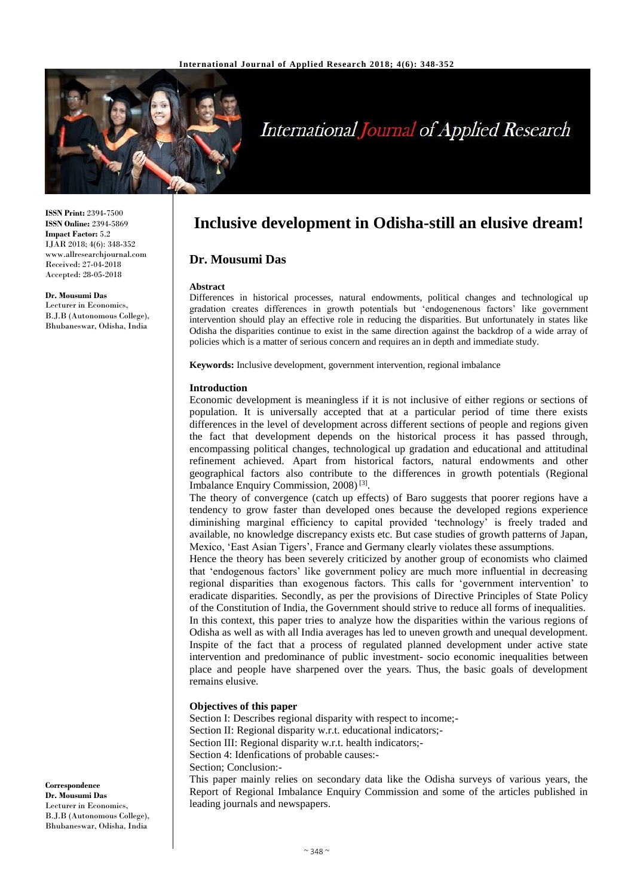

# **International Journal of Applied Research**

**ISSN Print:** 2394-7500 **ISSN Online:** 2394-5869 **Impact Factor:** 5.2 IJAR 2018; 4(6): 348-352 www.allresearchjournal.com Received: 27-04-2018 Accepted: 28-05-2018

**Dr. Mousumi Das** Lecturer in Economics, B.J.B (Autonomous College), Bhubaneswar, Odisha, India

**Inclusive development in Odisha-still an elusive dream!**

# **Dr. Mousumi Das**

# **Abstract**

Differences in historical processes, natural endowments, political changes and technological up gradation creates differences in growth potentials but 'endogenenous factors' like government intervention should play an effective role in reducing the disparities. But unfortunately in states like Odisha the disparities continue to exist in the same direction against the backdrop of a wide array of policies which is a matter of serious concern and requires an in depth and immediate study.

**Keywords:** Inclusive development, government intervention, regional imbalance

# **Introduction**

Economic development is meaningless if it is not inclusive of either regions or sections of population. It is universally accepted that at a particular period of time there exists differences in the level of development across different sections of people and regions given the fact that development depends on the historical process it has passed through, encompassing political changes, technological up gradation and educational and attitudinal refinement achieved. Apart from historical factors, natural endowments and other geographical factors also contribute to the differences in growth potentials (Regional Imbalance Enquiry Commission, 2008) [3] .

The theory of convergence (catch up effects) of Baro suggests that poorer regions have a tendency to grow faster than developed ones because the developed regions experience diminishing marginal efficiency to capital provided 'technology' is freely traded and available, no knowledge discrepancy exists etc. But case studies of growth patterns of Japan, Mexico, 'East Asian Tigers', France and Germany clearly violates these assumptions.

Hence the theory has been severely criticized by another group of economists who claimed that 'endogenous factors' like government policy are much more influential in decreasing regional disparities than exogenous factors. This calls for 'government intervention' to eradicate disparities. Secondly, as per the provisions of Directive Principles of State Policy of the Constitution of India, the Government should strive to reduce all forms of inequalities. In this context, this paper tries to analyze how the disparities within the various regions of Odisha as well as with all India averages has led to uneven growth and unequal development. Inspite of the fact that a process of regulated planned development under active state intervention and predominance of public investment- socio economic inequalities between place and people have sharpened over the years. Thus, the basic goals of development remains elusive.

# **Objectives of this paper**

Section I: Describes regional disparity with respect to income;- Section II: Regional disparity w.r.t. educational indicators;-Section III: Regional disparity w.r.t. health indicators;-Section 4: Idenfications of probable causes:- Section; Conclusion:-

This paper mainly relies on secondary data like the Odisha surveys of various years, the Report of Regional Imbalance Enquiry Commission and some of the articles published in leading journals and newspapers.

**Correspondence Dr. Mousumi Das** Lecturer in Economics, B.J.B (Autonomous College), Bhubaneswar, Odisha, India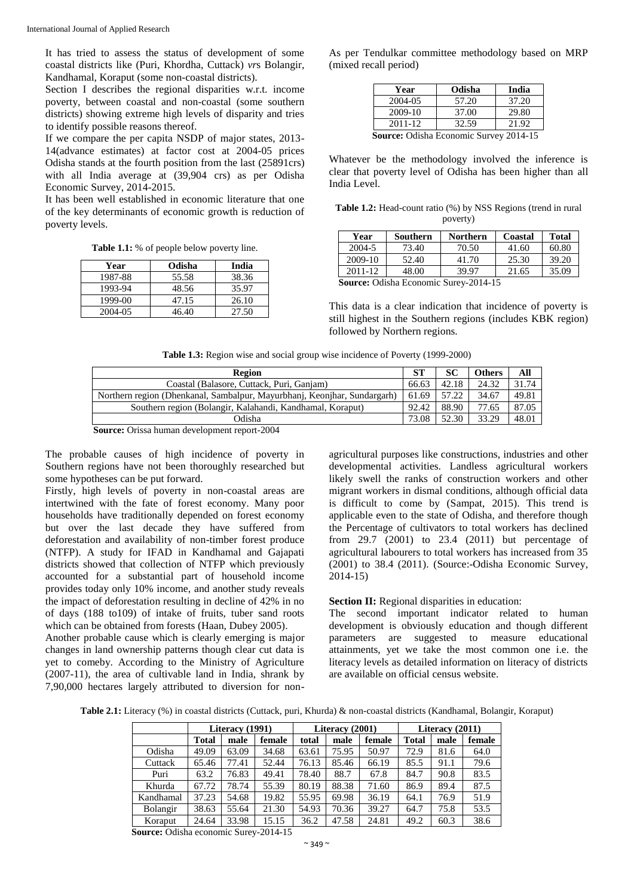It has tried to assess the status of development of some coastal districts like (Puri, Khordha, Cuttack) *vr*s Bolangir, Kandhamal, Koraput (some non-coastal districts).

Section I describes the regional disparities w.r.t. income poverty, between coastal and non-coastal (some southern districts) showing extreme high levels of disparity and tries to identify possible reasons thereof.

If we compare the per capita NSDP of major states, 2013- 14(advance estimates) at factor cost at 2004-05 prices Odisha stands at the fourth position from the last (25891crs) with all India average at (39,904 crs) as per Odisha Economic Survey, 2014-2015.

It has been well established in economic literature that one of the key determinants of economic growth is reduction of poverty levels.

**Table 1.1:** % of people below poverty line.

| Year    | Odisha | India |
|---------|--------|-------|
| 1987-88 | 55.58  | 38.36 |
| 1993-94 | 48.56  | 35.97 |
| 1999-00 | 47.15  | 26.10 |
| 2004-05 | 46.40  | 27.50 |

As per Tendulkar committee methodology based on MRP (mixed recall period)

| Year                                          | Odisha | India |  |  |  |
|-----------------------------------------------|--------|-------|--|--|--|
| 2004-05                                       | 57.20  | 37.20 |  |  |  |
| 2009-10                                       | 37.00  | 29.80 |  |  |  |
| 2011-12                                       | 32.59  | 21.92 |  |  |  |
| <b>Source: Odisha Economic Survey 2014-15</b> |        |       |  |  |  |

Whatever be the methodology involved the inference is clear that poverty level of Odisha has been higher than all India Level.

**Table 1.2:** Head-count ratio (%) by NSS Regions (trend in rural poverty)

| Year                                         | Southern | <b>Northern</b> | Coastal | <b>Total</b> |  |
|----------------------------------------------|----------|-----------------|---------|--------------|--|
| 2004-5                                       | 73.40    | 70.50           | 41.60   | 60.80        |  |
| 2009-10                                      | 52.40    | 41.70           | 25.30   | 39.20        |  |
| 2011-12                                      | 48.00    | 39.97           | 21.65   | 35.09        |  |
| <b>Source:</b> Odisha Economic Surey-2014-15 |          |                 |         |              |  |

This data is a clear indication that incidence of poverty is still highest in the Southern regions (includes KBK region) followed by Northern regions.

**Table 1.3:** Region wise and social group wise incidence of Poverty (1999-2000)

| Region                                                                   | ST.   | SС    | Others | All   |
|--------------------------------------------------------------------------|-------|-------|--------|-------|
| Coastal (Balasore, Cuttack, Puri, Ganjam)                                | 66.63 | 42.18 | 24.32  | 31.74 |
| Northern region (Dhenkanal, Sambalpur, Mayurbhanj, Keonjhar, Sundargarh) | 61.69 | 57.22 | 34.67  | 49.81 |
| Southern region (Bolangir, Kalahandi, Kandhamal, Koraput)                | 92.42 | 88.90 | 77.65  | 87.05 |
| Odisha                                                                   | 73.08 | 52.30 | 33.29  | 48.01 |

**Source:** Orissa human development report-2004

The probable causes of high incidence of poverty in Southern regions have not been thoroughly researched but some hypotheses can be put forward.

Firstly, high levels of poverty in non-coastal areas are intertwined with the fate of forest economy. Many poor households have traditionally depended on forest economy but over the last decade they have suffered from deforestation and availability of non-timber forest produce (NTFP). A study for IFAD in Kandhamal and Gajapati districts showed that collection of NTFP which previously accounted for a substantial part of household income provides today only 10% income, and another study reveals the impact of deforestation resulting in decline of 42% in no of days (188 to109) of intake of fruits, tuber sand roots which can be obtained from forests (Haan, Dubey 2005).

Another probable cause which is clearly emerging is major changes in land ownership patterns though clear cut data is yet to comeby. According to the Ministry of Agriculture (2007-11), the area of cultivable land in India, shrank by 7,90,000 hectares largely attributed to diversion for non-

agricultural purposes like constructions, industries and other developmental activities. Landless agricultural workers likely swell the ranks of construction workers and other migrant workers in dismal conditions, although official data is difficult to come by (Sampat, 2015). This trend is applicable even to the state of Odisha, and therefore though the Percentage of cultivators to total workers has declined from 29.7 (2001) to 23.4 (2011) but percentage of agricultural labourers to total workers has increased from 35 (2001) to 38.4 (2011). (Source:-Odisha Economic Survey, 2014-15)

# **Section II:** Regional disparities in education:

The second important indicator related to human development is obviously education and though different parameters are suggested to measure educational attainments, yet we take the most common one i.e. the literacy levels as detailed information on literacy of districts are available on official census website.

**Table 2.1:** Literacy (%) in coastal districts (Cuttack, puri, Khurda) & non-coastal districts (Kandhamal, Bolangir, Koraput)

|           |              | Literacy (1991) |        | Literacy $(2001)$ |       |        |              | Literacy (2011) |        |
|-----------|--------------|-----------------|--------|-------------------|-------|--------|--------------|-----------------|--------|
|           | <b>Total</b> | male            | female | total             | male  | female | <b>Total</b> | male            | female |
| Odisha    | 49.09        | 63.09           | 34.68  | 63.61             | 75.95 | 50.97  | 72.9         | 81.6            | 64.0   |
| Cuttack   | 65.46        | 77.41           | 52.44  | 76.13             | 85.46 | 66.19  | 85.5         | 91.1            | 79.6   |
| Puri      | 63.2         | 76.83           | 49.41  | 78.40             | 88.7  | 67.8   | 84.7         | 90.8            | 83.5   |
| Khurda    | 67.72        | 78.74           | 55.39  | 80.19             | 88.38 | 71.60  | 86.9         | 89.4            | 87.5   |
| Kandhamal | 37.23        | 54.68           | 19.82  | 55.95             | 69.98 | 36.19  | 64.1         | 76.9            | 51.9   |
| Bolangir  | 38.63        | 55.64           | 21.30  | 54.93             | 70.36 | 39.27  | 64.7         | 75.8            | 53.5   |
| Koraput   | 24.64        | 33.98           | 15.15  | 36.2              | 47.58 | 24.81  | 49.2         | 60.3            | 38.6   |

**Source:** Odisha economic Surey-2014-15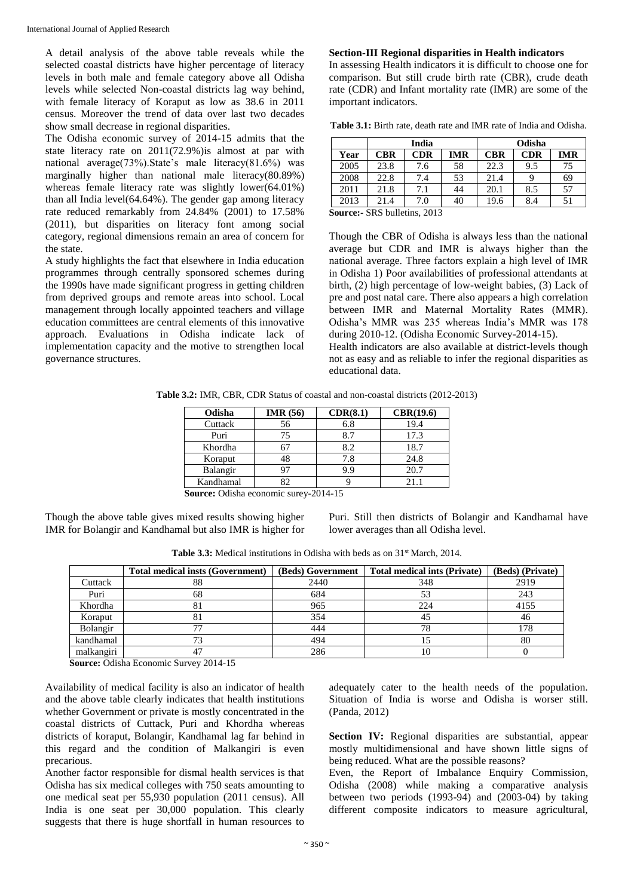A detail analysis of the above table reveals while the selected coastal districts have higher percentage of literacy levels in both male and female category above all Odisha levels while selected Non-coastal districts lag way behind, with female literacy of Koraput as low as 38.6 in 2011 census. Moreover the trend of data over last two decades show small decrease in regional disparities.

The Odisha economic survey of 2014-15 admits that the state literacy rate on 2011(72.9%)is almost at par with national average(73%).State's male literacy(81.6%) was marginally higher than national male literacy(80.89%) whereas female literacy rate was slightly lower(64.01%) than all India level(64.64%). The gender gap among literacy rate reduced remarkably from 24.84% (2001) to 17.58% (2011), but disparities on literacy font among social category, regional dimensions remain an area of concern for the state.

A study highlights the fact that elsewhere in India education programmes through centrally sponsored schemes during the 1990s have made significant progress in getting children from deprived groups and remote areas into school. Local management through locally appointed teachers and village education committees are central elements of this innovative approach. Evaluations in Odisha indicate lack of implementation capacity and the motive to strengthen local governance structures.

#### **Section-III Regional disparities in Health indicators**

In assessing Health indicators it is difficult to choose one for comparison. But still crude birth rate (CBR), crude death rate (CDR) and Infant mortality rate (IMR) are some of the important indicators.

| <b>Table 3.1:</b> Birth rate, death rate and IMR rate of India and Odisha. |  |  |
|----------------------------------------------------------------------------|--|--|
|----------------------------------------------------------------------------|--|--|

|            | India      |                              |            | Odisha     |            |
|------------|------------|------------------------------|------------|------------|------------|
| <b>CBR</b> | <b>CDR</b> | <b>IMR</b>                   | <b>CBR</b> | <b>CDR</b> | <b>IMR</b> |
| 23.8       | 7.6        | 58                           | 22.3       | 9.5        | 75         |
| 22.8       | 7.4        | 53                           | 21.4       |            | 69         |
| 21.8       | 7.1        | 44                           | 20.1       | 8.5        | 57         |
| 21.4       | 7.0        | 40                           | 19.6       | 8.4        |            |
|            |            | $0.001 \text{ m}$ $(1.0012)$ |            |            |            |

**Source:-** SRS bulletins, 2013

Though the CBR of Odisha is always less than the national average but CDR and IMR is always higher than the national average. Three factors explain a high level of IMR in Odisha 1) Poor availabilities of professional attendants at birth, (2) high percentage of low-weight babies, (3) Lack of pre and post natal care. There also appears a high correlation between IMR and Maternal Mortality Rates (MMR). Odisha's MMR was 235 whereas India's MMR was 178 during 2010-12. (Odisha Economic Survey-2014-15). Health indicators are also available at district-levels though

not as easy and as reliable to infer the regional disparities as educational data.

**Table 3.2:** IMR, CBR, CDR Status of coastal and non-coastal districts (2012-2013)

| Odisha    | <b>IMR</b> (56) | CDR(8.1) | CBR(19.6) |
|-----------|-----------------|----------|-----------|
| Cuttack   | 56              | 6.8      | 19.4      |
| Puri      | 75              | 8.7      | 17.3      |
| Khordha   | 67              | 8.2      | 18.7      |
| Koraput   | 48              | 7.8      | 24.8      |
| Balangir  | 97              | 9.9      | 20.7      |
| Kandhamal | 37              |          | 21.1      |

**Source:** Odisha economic surey-2014-15

Though the above table gives mixed results showing higher IMR for Bolangir and Kandhamal but also IMR is higher for Puri. Still then districts of Bolangir and Kandhamal have lower averages than all Odisha level.

| <b>Table 3.3:</b> Medical institutions in Odisha with beds as on $31st$ March, 2014. |  |  |  |  |
|--------------------------------------------------------------------------------------|--|--|--|--|
|--------------------------------------------------------------------------------------|--|--|--|--|

|            | <b>Total medical insts (Government)</b> | (Beds) Government | <b>Total medical ints (Private)</b> | (Beds) (Private) |
|------------|-----------------------------------------|-------------------|-------------------------------------|------------------|
| Cuttack    |                                         | 2440              | 348                                 | 2919             |
| Puri       | 68                                      | 684               |                                     | 243              |
| Khordha    |                                         | 965               | 224                                 | 4155             |
| Koraput    |                                         | 354               |                                     | -46              |
| Bolangir   |                                         | 444               | 78                                  | 178              |
| kandhamal  |                                         | 494               |                                     | 80               |
| malkangiri |                                         | 286               | 10                                  |                  |

**Source:** Odisha Economic Survey 2014-15

Availability of medical facility is also an indicator of health and the above table clearly indicates that health institutions whether Government or private is mostly concentrated in the coastal districts of Cuttack, Puri and Khordha whereas districts of koraput, Bolangir, Kandhamal lag far behind in this regard and the condition of Malkangiri is even precarious.

Another factor responsible for dismal health services is that Odisha has six medical colleges with 750 seats amounting to one medical seat per 55,930 population (2011 census). All India is one seat per 30,000 population. This clearly suggests that there is huge shortfall in human resources to adequately cater to the health needs of the population. Situation of India is worse and Odisha is worser still. (Panda, 2012)

**Section IV:** Regional disparities are substantial, appear mostly multidimensional and have shown little signs of being reduced. What are the possible reasons?

Even, the Report of Imbalance Enquiry Commission, Odisha (2008) while making a comparative analysis between two periods (1993-94) and (2003-04) by taking different composite indicators to measure agricultural,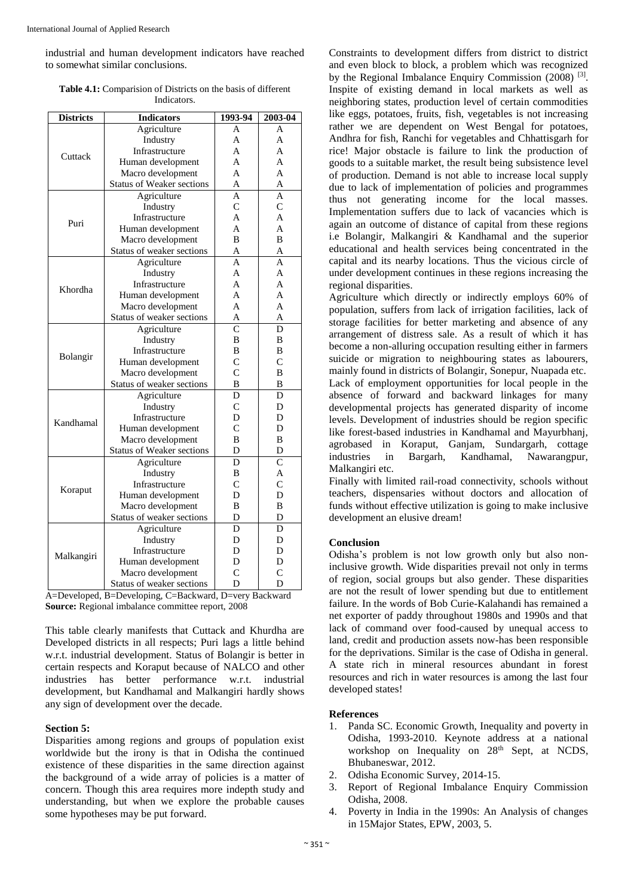industrial and human development indicators have reached to somewhat similar conclusions.

**Table 4.1:** Comparision of Districts on the basis of different **Indicators** 

| <b>Districts</b> | <b>Indicators</b>                | 1993-94        | 2003-04        |
|------------------|----------------------------------|----------------|----------------|
|                  | Agriculture                      | A              | A              |
|                  | Industry                         | A              | A              |
| Cuttack          | Infrastructure                   | A              | A              |
|                  | Human development                | A              | A              |
|                  | Macro development                | A              | A              |
|                  | <b>Status of Weaker sections</b> | A              | A              |
|                  | Agriculture                      | A              | A              |
|                  | Industry                         | $\overline{C}$ | $\overline{C}$ |
| Puri             | Infrastructure                   | A              | $\overline{A}$ |
|                  | Human development                | A              | A              |
|                  | Macro development                | B              | B              |
|                  | Status of weaker sections        | A              | A              |
|                  | Agriculture                      | A              | A              |
|                  | Industry                         | $\mathbf{A}$   | $\mathbf{A}$   |
| Khordha          | Infrastructure                   | A              | A              |
|                  | Human development                | A              | A              |
|                  | Macro development                | A              | A              |
|                  | Status of weaker sections        | A              | A              |
|                  | Agriculture                      | $\overline{C}$ | D              |
|                  | Industry                         | B              | B              |
| Bolangir         | Infrastructure                   | B              | B              |
|                  | Human development                | $\overline{C}$ | $\overline{C}$ |
|                  | Macro development                | $\overline{C}$ | B              |
|                  | Status of weaker sections        | B              | B              |
|                  | Agriculture                      | D              | D              |
|                  | Industry                         | $\overline{C}$ | D              |
| Kandhamal        | Infrastructure                   | D              | D              |
|                  | Human development                | $\mathsf{C}$   | D              |
|                  | Macro development                | B              | B              |
|                  | Status of Weaker sections        | D              | D              |
|                  | Agriculture                      | D              | $\mathcal{C}$  |
|                  | Industry                         | B              | A              |
| Koraput          | Infrastructure                   | $\overline{C}$ | $\overline{C}$ |
|                  | Human development                | D              | D              |
|                  | Macro development                | B              | B              |
|                  | Status of weaker sections        | D              | D              |
|                  | Agriculture                      | D              | D              |
|                  | Industry                         | D              | D              |
| Malkangiri       | Infrastructure                   | D              | D              |
|                  | Human development                | D              | D              |
|                  | Macro development                | $\overline{C}$ | $\overline{C}$ |
|                  | Status of weaker sections        | D              | D              |

A=Developed, B=Developing, C=Backward, D=very Backward **Source:** Regional imbalance committee report, 2008

This table clearly manifests that Cuttack and Khurdha are Developed districts in all respects; Puri lags a little behind w.r.t. industrial development. Status of Bolangir is better in certain respects and Koraput because of NALCO and other industries has better performance w.r.t. industrial development, but Kandhamal and Malkangiri hardly shows any sign of development over the decade.

# **Section 5:**

Disparities among regions and groups of population exist worldwide but the irony is that in Odisha the continued existence of these disparities in the same direction against the background of a wide array of policies is a matter of concern. Though this area requires more indepth study and understanding, but when we explore the probable causes some hypotheses may be put forward.

Constraints to development differs from district to district and even block to block, a problem which was recognized by the Regional Imbalance Enquiry Commission (2008)<sup>[3]</sup>. Inspite of existing demand in local markets as well as neighboring states, production level of certain commodities like eggs, potatoes, fruits, fish, vegetables is not increasing rather we are dependent on West Bengal for potatoes, Andhra for fish, Ranchi for vegetables and Chhattisgarh for rice! Major obstacle is failure to link the production of goods to a suitable market, the result being subsistence level of production. Demand is not able to increase local supply due to lack of implementation of policies and programmes thus not generating income for the local masses. Implementation suffers due to lack of vacancies which is again an outcome of distance of capital from these regions i.e Bolangir, Malkangiri & Kandhamal and the superior educational and health services being concentrated in the capital and its nearby locations. Thus the vicious circle of under development continues in these regions increasing the regional disparities.

Agriculture which directly or indirectly employs 60% of population, suffers from lack of irrigation facilities, lack of storage facilities for better marketing and absence of any arrangement of distress sale. As a result of which it has become a non-alluring occupation resulting either in farmers suicide or migration to neighbouring states as labourers, mainly found in districts of Bolangir, Sonepur, Nuapada etc. Lack of employment opportunities for local people in the absence of forward and backward linkages for many developmental projects has generated disparity of income levels. Development of industries should be region specific like forest-based industries in Kandhamal and Mayurbhanj, agrobased in Koraput, Ganjam, Sundargarh, cottage industries in Bargarh, Kandhamal, Nawarangpur, Malkangiri etc.

Finally with limited rail-road connectivity, schools without teachers, dispensaries without doctors and allocation of funds without effective utilization is going to make inclusive development an elusive dream!

# **Conclusion**

Odisha's problem is not low growth only but also noninclusive growth. Wide disparities prevail not only in terms of region, social groups but also gender. These disparities are not the result of lower spending but due to entitlement failure. In the words of Bob Curie-Kalahandi has remained a net exporter of paddy throughout 1980s and 1990s and that lack of command over food-caused by unequal access to land, credit and production assets now-has been responsible for the deprivations. Similar is the case of Odisha in general. A state rich in mineral resources abundant in forest resources and rich in water resources is among the last four developed states!

# **References**

- 1. Panda SC. Economic Growth, Inequality and poverty in Odisha, 1993-2010. Keynote address at a national workshop on Inequality on 28<sup>th</sup> Sept, at NCDS, Bhubaneswar, 2012.
- 2. Odisha Economic Survey, 2014-15.
- 3. Report of Regional Imbalance Enquiry Commission Odisha, 2008.
- 4. Poverty in India in the 1990s: An Analysis of changes in 15Major States, EPW, 2003, 5.